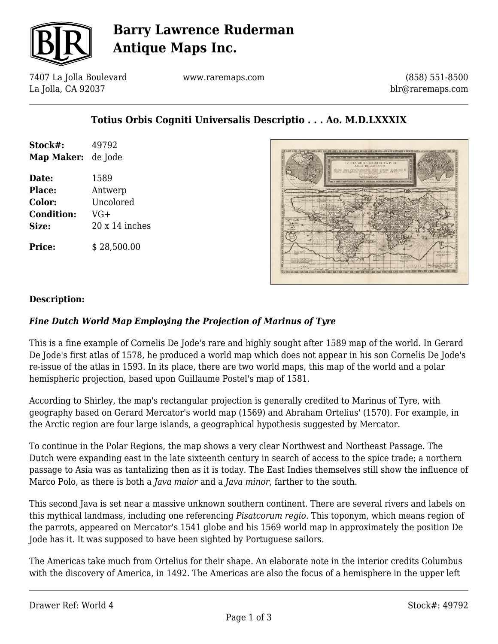

## **Barry Lawrence Ruderman Antique Maps Inc.**

7407 La Jolla Boulevard La Jolla, CA 92037

www.raremaps.com

(858) 551-8500 blr@raremaps.com

## **Totius Orbis Cogniti Universalis Descriptio . . . Ao. M.D.LXXXIX**

| Stock#:           | 49792                 |
|-------------------|-----------------------|
| Map Maker:        | de Jode               |
| Date:             | 1589                  |
| <b>Place:</b>     | Antwerp               |
| Color:            | Uncolored             |
| <b>Condition:</b> | $VG+$                 |
| Size:             | $20 \times 14$ inches |
| <b>Price:</b>     | \$28,500.00           |



#### **Description:**

### *Fine Dutch World Map Employing the Projection of Marinus of Tyre*

This is a fine example of Cornelis De Jode's rare and highly sought after 1589 map of the world. In Gerard De Jode's first atlas of 1578, he produced a world map which does not appear in his son Cornelis De Jode's re-issue of the atlas in 1593. In its place, there are two world maps, this map of the world and a polar hemispheric projection, based upon Guillaume Postel's map of 1581.

According to Shirley, the map's rectangular projection is generally credited to Marinus of Tyre, with geography based on Gerard Mercator's world map (1569) and Abraham Ortelius' (1570). For example, in the Arctic region are four large islands, a geographical hypothesis suggested by Mercator.

To continue in the Polar Regions, the map shows a very clear Northwest and Northeast Passage. The Dutch were expanding east in the late sixteenth century in search of access to the spice trade; a northern passage to Asia was as tantalizing then as it is today. The East Indies themselves still show the influence of Marco Polo, as there is both a *Java maior* and a *Java minor*, farther to the south.

This second Java is set near a massive unknown southern continent. There are several rivers and labels on this mythical landmass, including one referencing *Pisatcorum regio.* This toponym, which means region of the parrots, appeared on Mercator's 1541 globe and his 1569 world map in approximately the position De Jode has it. It was supposed to have been sighted by Portuguese sailors.

The Americas take much from Ortelius for their shape. An elaborate note in the interior credits Columbus with the discovery of America, in 1492. The Americas are also the focus of a hemisphere in the upper left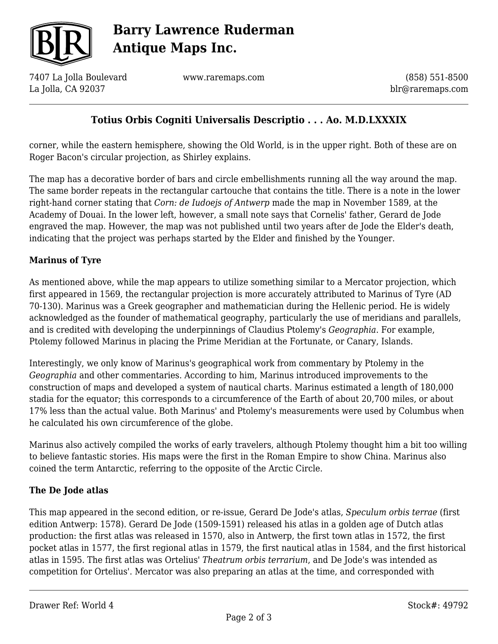

# **Barry Lawrence Ruderman Antique Maps Inc.**

7407 La Jolla Boulevard La Jolla, CA 92037

www.raremaps.com

(858) 551-8500 blr@raremaps.com

## **Totius Orbis Cogniti Universalis Descriptio . . . Ao. M.D.LXXXIX**

corner, while the eastern hemisphere, showing the Old World, is in the upper right. Both of these are on Roger Bacon's circular projection, as Shirley explains.

The map has a decorative border of bars and circle embellishments running all the way around the map. The same border repeats in the rectangular cartouche that contains the title. There is a note in the lower right-hand corner stating that *Corn: de Iudoejs of Antwerp* made the map in November 1589, at the Academy of Douai. In the lower left, however, a small note says that Cornelis' father, Gerard de Jode engraved the map. However, the map was not published until two years after de Jode the Elder's death, indicating that the project was perhaps started by the Elder and finished by the Younger.

### **Marinus of Tyre**

As mentioned above, while the map appears to utilize something similar to a Mercator projection, which first appeared in 1569, the rectangular projection is more accurately attributed to Marinus of Tyre (AD 70-130). Marinus was a Greek geographer and mathematician during the Hellenic period. He is widely acknowledged as the founder of mathematical geography, particularly the use of meridians and parallels, and is credited with developing the underpinnings of Claudius Ptolemy's *Geographia*. For example, Ptolemy followed Marinus in placing the Prime Meridian at the Fortunate, or Canary, Islands.

Interestingly, we only know of Marinus's geographical work from commentary by Ptolemy in the *Geographia* and other commentaries. According to him, Marinus introduced improvements to the construction of maps and developed a system of nautical charts. Marinus estimated a length of 180,000 stadia for the equator; this corresponds to a circumference of the Earth of about 20,700 miles, or about 17% less than the actual value. Both Marinus' and Ptolemy's measurements were used by Columbus when he calculated his own circumference of the globe.

Marinus also actively compiled the works of early travelers, although Ptolemy thought him a bit too willing to believe fantastic stories. His maps were the first in the Roman Empire to show China. Marinus also coined the term Antarctic, referring to the opposite of the Arctic Circle.

### **The De Jode atlas**

This map appeared in the second edition, or re-issue, Gerard De Jode's atlas, *Speculum orbis terrae* (first edition Antwerp: 1578)*.* Gerard De Jode (1509-1591) released his atlas in a golden age of Dutch atlas production: the first atlas was released in 1570, also in Antwerp, the first town atlas in 1572, the first pocket atlas in 1577, the first regional atlas in 1579, the first nautical atlas in 1584, and the first historical atlas in 1595. The first atlas was Ortelius' *Theatrum orbis terrarium*, and De Jode's was intended as competition for Ortelius'. Mercator was also preparing an atlas at the time, and corresponded with